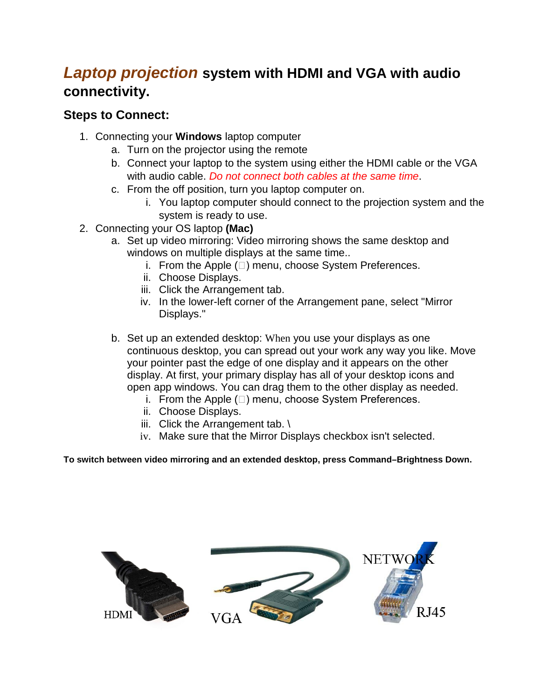## *Laptop projection* **system with HDMI and VGA with audio connectivity.**

## **Steps to Connect:**

- 1. Connecting your **Windows** laptop computer
	- a. Turn on the projector using the remote
	- b. Connect your laptop to the system using either the HDMI cable or the VGA with audio cable. *Do not connect both cables at the same time*.
	- c. From the off position, turn you laptop computer on.
		- i. You laptop computer should connect to the projection system and the system is ready to use.
- 2. Connecting your OS laptop **(Mac)**
	- a. Set up video mirroring: Video mirroring shows the same desktop and windows on multiple displays at the same time..
		- i. From the Apple  $(\Box)$  menu, choose System Preferences.
		- ii. Choose Displays.
		- iii. Click the Arrangement tab.
		- iv. In the lower-left corner of the Arrangement pane, select "Mirror Displays."
	- b. Set up an extended desktop: When you use your displays as one continuous desktop, you can spread out your work any way you like. Move your pointer past the edge of one display and it appears on the other display. At first, your primary display has all of your desktop icons and open app windows. You can drag them to the other display as needed.
		- i. From the Apple  $(\Box)$  menu, choose System Preferences.
		- ii. Choose Displays.
		- iii. Click the Arrangement tab. \
		- iv. Make sure that the Mirror Displays checkbox isn't selected.

**To switch between video mirroring and an extended desktop, press Command–Brightness Down.**